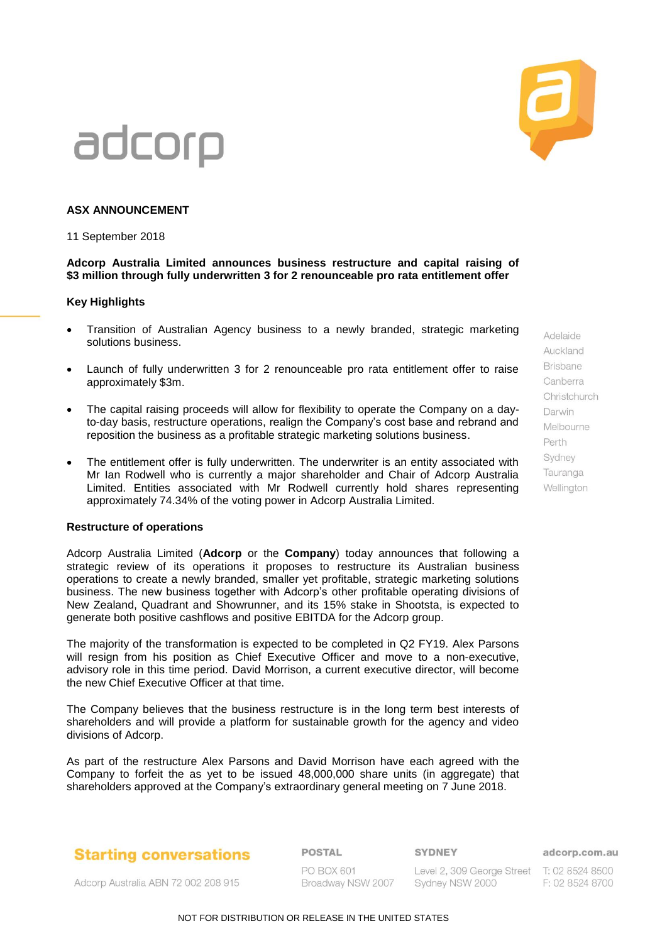### **ASX ANNOUNCEMENT**

11 September 2018

### **Adcorp Australia Limited announces business restructure and capital raising of \$3 million through fully underwritten 3 for 2 renounceable pro rata entitlement offer**

### **Key Highlights**

- Transition of Australian Agency business to a newly branded, strategic marketing solutions business.
- Launch of fully underwritten 3 for 2 renounceable pro rata entitlement offer to raise approximately \$3m.
- The capital raising proceeds will allow for flexibility to operate the Company on a dayto-day basis, restructure operations, realign the Company's cost base and rebrand and reposition the business as a profitable strategic marketing solutions business.
- The entitlement offer is fully underwritten. The underwriter is an entity associated with Mr Ian Rodwell who is currently a major shareholder and Chair of Adcorp Australia Limited. Entities associated with Mr Rodwell currently hold shares representing approximately 74.34% of the voting power in Adcorp Australia Limited.

#### **Restructure of operations**

Adcorp Australia Limited (**Adcorp** or the **Company**) today announces that following a strategic review of its operations it proposes to restructure its Australian business operations to create a newly branded, smaller yet profitable, strategic marketing solutions business. The new business together with Adcorp's other profitable operating divisions of New Zealand, Quadrant and Showrunner, and its 15% stake in Shootsta, is expected to generate both positive cashflows and positive EBITDA for the Adcorp group.

The majority of the transformation is expected to be completed in Q2 FY19. Alex Parsons will resign from his position as Chief Executive Officer and move to a non-executive, advisory role in this time period. David Morrison, a current executive director, will become the new Chief Executive Officer at that time.

The Company believes that the business restructure is in the long term best interests of shareholders and will provide a platform for sustainable growth for the agency and video divisions of Adcorp.

As part of the restructure Alex Parsons and David Morrison have each agreed with the Company to forfeit the as yet to be issued 48,000,000 share units (in aggregate) that shareholders approved at the Company's extraordinary general meeting on 7 June 2018.

### **Starting conversations**

**POSTAL** 

**SYDNEY** 

Adcorp Australia ABN 72 002 208 915

**PO BOX 601** 

Level 2, 309 George Street T: 02 8524 8500 Broadway NSW 2007 Sydney NSW 2000

adcorp.com.au F: 02 8524 8700

Adelaide Auckland **Brisbane** Canberra Christchurch Darwin Melhourne Perth Sydney Tauranga Wellinaton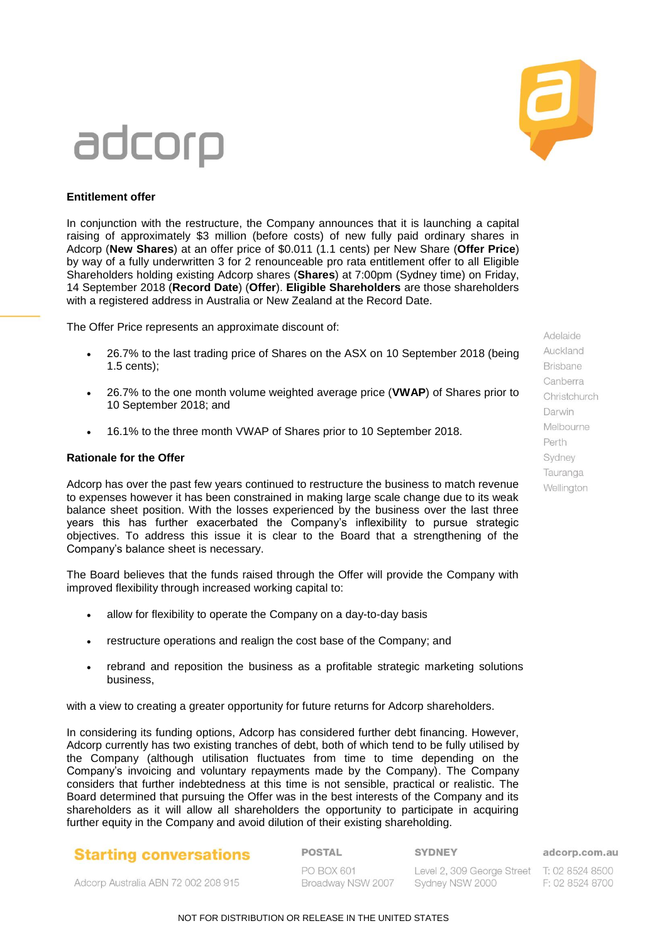

### **Entitlement offer**

In conjunction with the restructure, the Company announces that it is launching a capital raising of approximately \$3 million (before costs) of new fully paid ordinary shares in Adcorp (**New Shares**) at an offer price of \$0.011 (1.1 cents) per New Share (**Offer Price**) by way of a fully underwritten 3 for 2 renounceable pro rata entitlement offer to all Eligible Shareholders holding existing Adcorp shares (**Shares**) at 7:00pm (Sydney time) on Friday, 14 September 2018 (**Record Date**) (**Offer**). **Eligible Shareholders** are those shareholders with a registered address in Australia or New Zealand at the Record Date.

The Offer Price represents an approximate discount of:

- 26.7% to the last trading price of Shares on the ASX on 10 September 2018 (being 1.5 cents);
- 26.7% to the one month volume weighted average price (**VWAP**) of Shares prior to 10 September 2018; and
- 16.1% to the three month VWAP of Shares prior to 10 September 2018.

### **Rationale for the Offer**

Adcorp has over the past few years continued to restructure the business to match revenue to expenses however it has been constrained in making large scale change due to its weak balance sheet position. With the losses experienced by the business over the last three years this has further exacerbated the Company's inflexibility to pursue strategic objectives. To address this issue it is clear to the Board that a strengthening of the Company's balance sheet is necessary.

The Board believes that the funds raised through the Offer will provide the Company with improved flexibility through increased working capital to:

- allow for flexibility to operate the Company on a day-to-day basis
- restructure operations and realign the cost base of the Company; and
- rebrand and reposition the business as a profitable strategic marketing solutions business,

with a view to creating a greater opportunity for future returns for Adcorp shareholders.

In considering its funding options, Adcorp has considered further debt financing. However, Adcorp currently has two existing tranches of debt, both of which tend to be fully utilised by the Company (although utilisation fluctuates from time to time depending on the Company's invoicing and voluntary repayments made by the Company). The Company considers that further indebtedness at this time is not sensible, practical or realistic. The Board determined that pursuing the Offer was in the best interests of the Company and its shareholders as it will allow all shareholders the opportunity to participate in acquiring further equity in the Company and avoid dilution of their existing shareholding.

### **Starting conversations**

**POSTAL** 

**SYDNEY** 

adcorp.com.au

Adcorp Australia ABN 72 002 208 915

PO BOX 601 Broadway NSW 2007

Level 2, 309 George Street T: 02 8524 8500 Sydney NSW 2000

F: 02 8524 8700

Adelaide Auckland **Brisbane** Canberra Christchurch Darwin Melbourne Perth Sydney Tauranga Wellington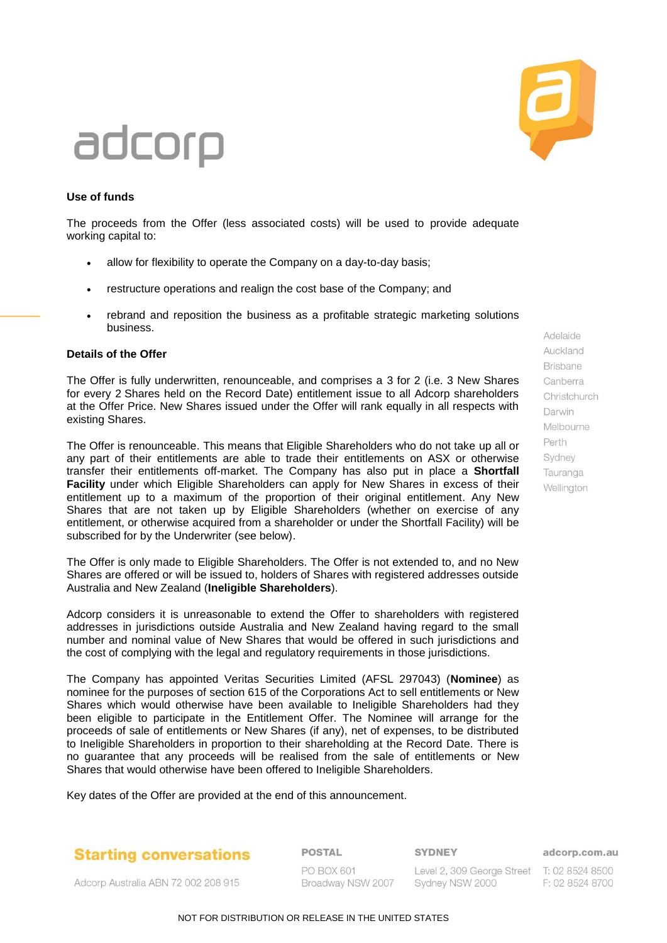

### **Use of funds**

The proceeds from the Offer (less associated costs) will be used to provide adequate working capital to:

- allow for flexibility to operate the Company on a day-to-day basis;
- restructure operations and realign the cost base of the Company; and
- rebrand and reposition the business as a profitable strategic marketing solutions business.

### **Details of the Offer**

The Offer is fully underwritten, renounceable, and comprises a 3 for 2 (i.e. 3 New Shares for every 2 Shares held on the Record Date) entitlement issue to all Adcorp shareholders at the Offer Price. New Shares issued under the Offer will rank equally in all respects with existing Shares.

The Offer is renounceable. This means that Eligible Shareholders who do not take up all or any part of their entitlements are able to trade their entitlements on ASX or otherwise transfer their entitlements off-market. The Company has also put in place a **Shortfall Facility** under which Eligible Shareholders can apply for New Shares in excess of their entitlement up to a maximum of the proportion of their original entitlement. Any New Shares that are not taken up by Eligible Shareholders (whether on exercise of any entitlement, or otherwise acquired from a shareholder or under the Shortfall Facility) will be subscribed for by the Underwriter (see below).

The Offer is only made to Eligible Shareholders. The Offer is not extended to, and no New Shares are offered or will be issued to, holders of Shares with registered addresses outside Australia and New Zealand (**Ineligible Shareholders**).

Adcorp considers it is unreasonable to extend the Offer to shareholders with registered addresses in jurisdictions outside Australia and New Zealand having regard to the small number and nominal value of New Shares that would be offered in such jurisdictions and the cost of complying with the legal and regulatory requirements in those jurisdictions.

The Company has appointed Veritas Securities Limited (AFSL 297043) (**Nominee**) as nominee for the purposes of section 615 of the Corporations Act to sell entitlements or New Shares which would otherwise have been available to Ineligible Shareholders had they been eligible to participate in the Entitlement Offer. The Nominee will arrange for the proceeds of sale of entitlements or New Shares (if any), net of expenses, to be distributed to Ineligible Shareholders in proportion to their shareholding at the Record Date. There is no guarantee that any proceeds will be realised from the sale of entitlements or New Shares that would otherwise have been offered to Ineligible Shareholders.

Key dates of the Offer are provided at the end of this announcement.

### **Starting conversations**

**POSTAL** 

**SYDNEY** 

adcorp.com.au

Adcorp Australia ABN 72 002 208 915

PO BOX 601 Broadway NSW 2007

Level 2, 309 George Street T: 02 8524 8500 Sydney NSW 2000

F: 02 8524 8700

Adelaide Auckland **Brisbane** Canberra Christchurch Darwin Melbourne Perth Sydney Tauranga Wellington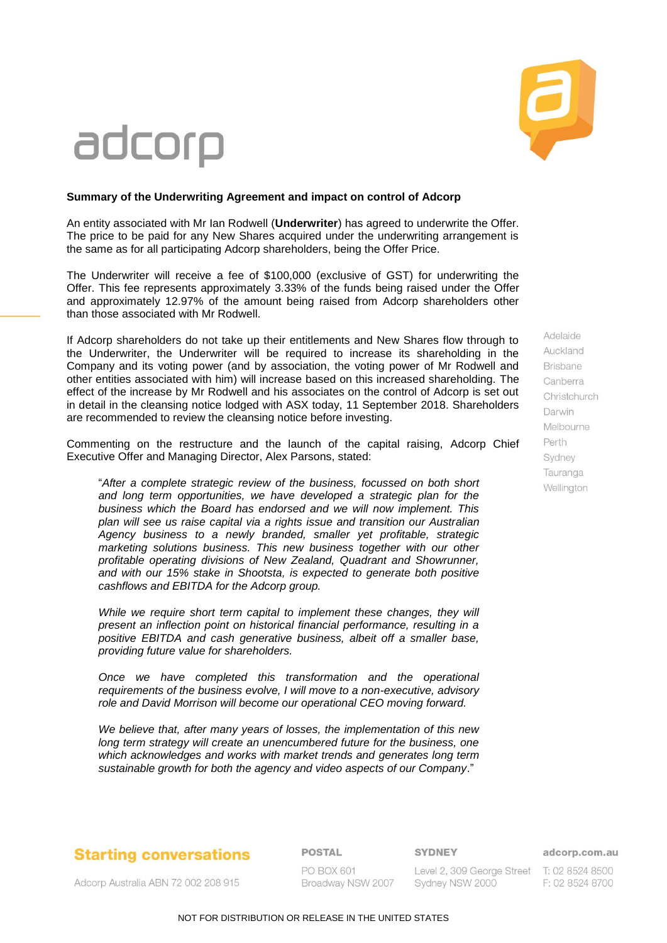

### **Summary of the Underwriting Agreement and impact on control of Adcorp**

An entity associated with Mr Ian Rodwell (**Underwriter**) has agreed to underwrite the Offer. The price to be paid for any New Shares acquired under the underwriting arrangement is the same as for all participating Adcorp shareholders, being the Offer Price.

The Underwriter will receive a fee of \$100,000 (exclusive of GST) for underwriting the Offer. This fee represents approximately 3.33% of the funds being raised under the Offer and approximately 12.97% of the amount being raised from Adcorp shareholders other than those associated with Mr Rodwell.

If Adcorp shareholders do not take up their entitlements and New Shares flow through to the Underwriter, the Underwriter will be required to increase its shareholding in the Company and its voting power (and by association, the voting power of Mr Rodwell and other entities associated with him) will increase based on this increased shareholding. The effect of the increase by Mr Rodwell and his associates on the control of Adcorp is set out in detail in the cleansing notice lodged with ASX today, 11 September 2018. Shareholders are recommended to review the cleansing notice before investing.

Commenting on the restructure and the launch of the capital raising, Adcorp Chief Executive Offer and Managing Director, Alex Parsons, stated:

"*After a complete strategic review of the business, focussed on both short and long term opportunities, we have developed a strategic plan for the business which the Board has endorsed and we will now implement. This plan will see us raise capital via a rights issue and transition our Australian Agency business to a newly branded, smaller yet profitable, strategic marketing solutions business. This new business together with our other profitable operating divisions of New Zealand, Quadrant and Showrunner, and with our 15% stake in Shootsta, is expected to generate both positive cashflows and EBITDA for the Adcorp group.* 

*While we require short term capital to implement these changes, they will present an inflection point on historical financial performance, resulting in a positive EBITDA and cash generative business, albeit off a smaller base, providing future value for shareholders.* 

*Once we have completed this transformation and the operational requirements of the business evolve, I will move to a non-executive, advisory role and David Morrison will become our operational CEO moving forward.*

*We believe that, after many years of losses, the implementation of this new long term strategy will create an unencumbered future for the business, one which acknowledges and works with market trends and generates long term sustainable growth for both the agency and video aspects of our Company*."

Adelaide Auckland Brisbane Canberra Christchurch Darwin Melhourne Perth Sydney Tauranga Wellinaton

### **Starting conversations**

**POSTAL** 

**SYDNEY** 

#### adcorp.com.au

Adcorp Australia ABN 72 002 208 915

**PO BOX 601** 

Level 2, 309 George Street T: 02 8524 8500 Broadway NSW 2007 Sydney NSW 2000

F: 02 8524 8700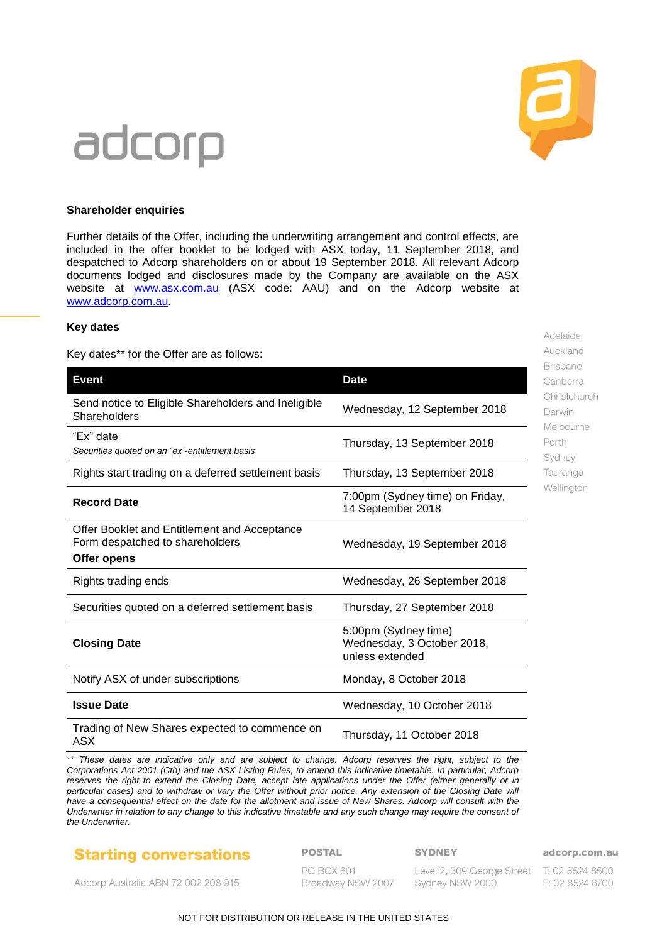

Adelaide Auckland **Brisbane** Canberra Christchurch Darwin Melbourne Perth Sydney Tauranga Wellington

# adcorp

### **Shareholder enquiries**

Further details of the Offer, including the underwriting arrangement and control effects, are included in the offer booklet to be lodged with ASX today, 11 September 2018, and despatched to Adcorp shareholders on or about 19 September 2018. All relevant Adcorp documents lodged and disclosures made by the Company are available on the ASX website at [www.asx.com.au](file:///C:/Users/gilead/Documents/ndEcho/AU-DXE6RK88/www.asx.com.au) (ASX code: AAU) and on the Adcorp website at [www.adcorp.com.au.](file:///C:/Users/gilead/Documents/ndEcho/AU-DXE6RK88/www.adcorp.com.au)

### **Key dates**

Key dates\*\* for the Offer are as follows:

| <b>Event</b>                                                                                   | <b>Date</b>                                                           |
|------------------------------------------------------------------------------------------------|-----------------------------------------------------------------------|
| Send notice to Eligible Shareholders and Ineligible<br>Shareholders                            | Wednesday, 12 September 2018                                          |
| "Ex" date<br>Securities quoted on an "ex"-entitlement basis                                    | Thursday, 13 September 2018                                           |
| Rights start trading on a deferred settlement basis                                            | Thursday, 13 September 2018                                           |
| <b>Record Date</b>                                                                             | 7:00pm (Sydney time) on Friday,<br>14 September 2018                  |
| Offer Booklet and Entitlement and Acceptance<br>Form despatched to shareholders<br>Offer opens | Wednesday, 19 September 2018                                          |
| Rights trading ends                                                                            | Wednesday, 26 September 2018                                          |
| Securities quoted on a deferred settlement basis                                               | Thursday, 27 September 2018                                           |
| <b>Closing Date</b>                                                                            | 5:00pm (Sydney time)<br>Wednesday, 3 October 2018,<br>unless extended |
| Notify ASX of under subscriptions                                                              | Monday, 8 October 2018                                                |
| <b>Issue Date</b>                                                                              | Wednesday, 10 October 2018                                            |
| Trading of New Shares expected to commence on<br><b>ASX</b>                                    | Thursday, 11 October 2018                                             |

*\*\* These dates are indicative only and are subject to change. Adcorp reserves the right, subject to the Corporations Act 2001 (Cth) and the ASX Listing Rules, to amend this indicative timetable. In particular, Adcorp*  reserves the right to extend the Closing Date, accept late applications under the Offer (either generally or in particular cases) and to withdraw or vary the Offer without prior notice. Any extension of the Closing Date will have a consequential effect on the date for the allotment and issue of New Shares. Adcorp will consult with the *Underwriter in relation to any change to this indicative timetable and any such change may require the consent of the Underwriter.*

### **Starting conversations**

**POSTAL** 

**SYDNEY** 

adcorp.com.au

Adcorp Australia ABN 72 002 208 915

PO BOX 601 Broadway NSW 2007 Level 2, 309 George Street T: 02 8524 8500 Sydney NSW 2000

F: 02 8524 8700